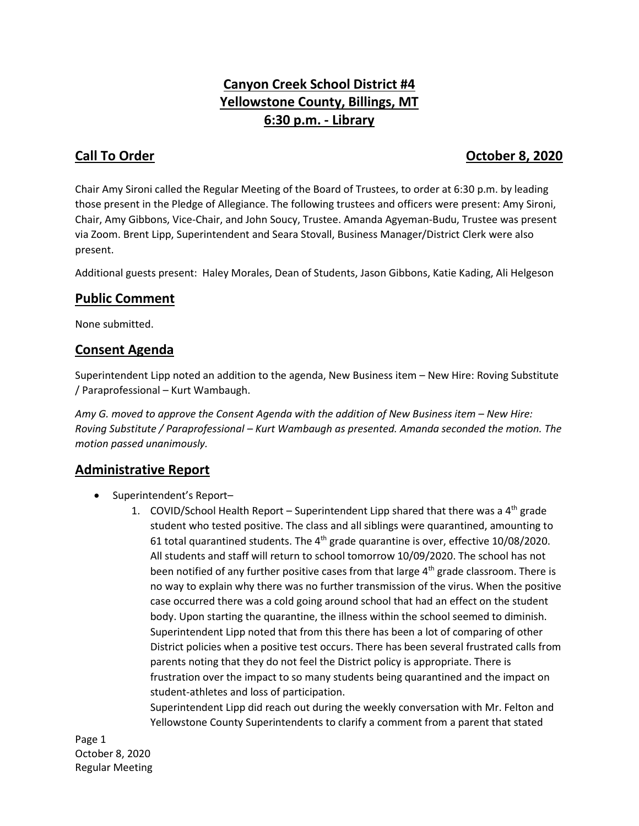# **Canyon Creek School District #4 Yellowstone County, Billings, MT 6:30 p.m. - Library**

## **Call To Order Call To Order Call To Order Call To Order 8, 2020**

Chair Amy Sironi called the Regular Meeting of the Board of Trustees, to order at 6:30 p.m. by leading those present in the Pledge of Allegiance. The following trustees and officers were present: Amy Sironi, Chair, Amy Gibbons, Vice-Chair, and John Soucy, Trustee. Amanda Agyeman-Budu, Trustee was present via Zoom. Brent Lipp, Superintendent and Seara Stovall, Business Manager/District Clerk were also present.

Additional guests present: Haley Morales, Dean of Students, Jason Gibbons, Katie Kading, Ali Helgeson

### **Public Comment**

None submitted.

### **Consent Agenda**

Superintendent Lipp noted an addition to the agenda, New Business item – New Hire: Roving Substitute / Paraprofessional – Kurt Wambaugh.

*Amy G. moved to approve the Consent Agenda with the addition of New Business item – New Hire: Roving Substitute / Paraprofessional – Kurt Wambaugh as presented. Amanda seconded the motion. The motion passed unanimously.* 

### **Administrative Report**

- Superintendent's Report-
	- 1. COVID/School Health Report Superintendent Lipp shared that there was a  $4<sup>th</sup>$  grade student who tested positive. The class and all siblings were quarantined, amounting to 61 total quarantined students. The  $4<sup>th</sup>$  grade quarantine is over, effective 10/08/2020. All students and staff will return to school tomorrow 10/09/2020. The school has not been notified of any further positive cases from that large  $4<sup>th</sup>$  grade classroom. There is no way to explain why there was no further transmission of the virus. When the positive case occurred there was a cold going around school that had an effect on the student body. Upon starting the quarantine, the illness within the school seemed to diminish. Superintendent Lipp noted that from this there has been a lot of comparing of other District policies when a positive test occurs. There has been several frustrated calls from parents noting that they do not feel the District policy is appropriate. There is frustration over the impact to so many students being quarantined and the impact on student-athletes and loss of participation.

Superintendent Lipp did reach out during the weekly conversation with Mr. Felton and Yellowstone County Superintendents to clarify a comment from a parent that stated

Page 1 October 8, 2020 Regular Meeting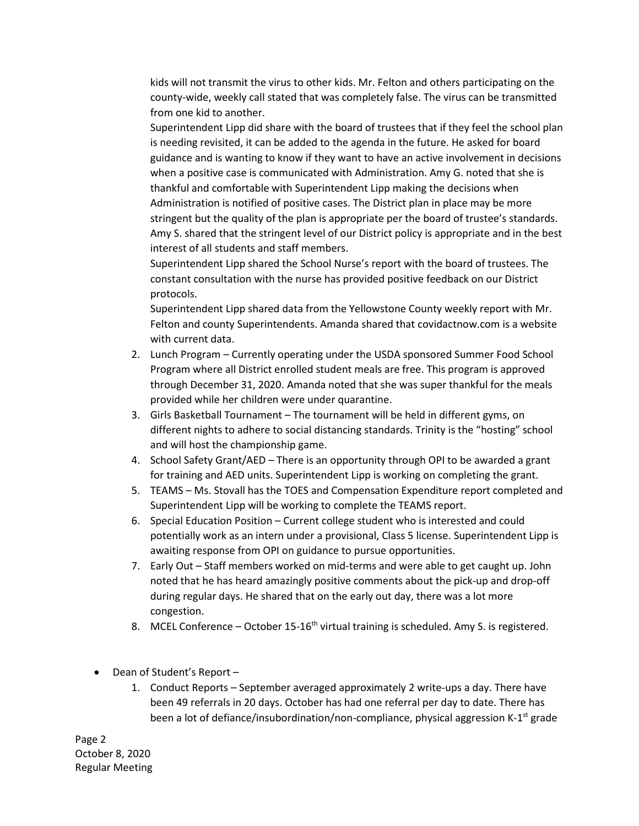kids will not transmit the virus to other kids. Mr. Felton and others participating on the county-wide, weekly call stated that was completely false. The virus can be transmitted from one kid to another.

Superintendent Lipp did share with the board of trustees that if they feel the school plan is needing revisited, it can be added to the agenda in the future. He asked for board guidance and is wanting to know if they want to have an active involvement in decisions when a positive case is communicated with Administration. Amy G. noted that she is thankful and comfortable with Superintendent Lipp making the decisions when Administration is notified of positive cases. The District plan in place may be more stringent but the quality of the plan is appropriate per the board of trustee's standards. Amy S. shared that the stringent level of our District policy is appropriate and in the best interest of all students and staff members.

Superintendent Lipp shared the School Nurse's report with the board of trustees. The constant consultation with the nurse has provided positive feedback on our District protocols.

Superintendent Lipp shared data from the Yellowstone County weekly report with Mr. Felton and county Superintendents. Amanda shared that covidactnow.com is a website with current data.

- 2. Lunch Program Currently operating under the USDA sponsored Summer Food School Program where all District enrolled student meals are free. This program is approved through December 31, 2020. Amanda noted that she was super thankful for the meals provided while her children were under quarantine.
- 3. Girls Basketball Tournament The tournament will be held in different gyms, on different nights to adhere to social distancing standards. Trinity is the "hosting" school and will host the championship game.
- 4. School Safety Grant/AED There is an opportunity through OPI to be awarded a grant for training and AED units. Superintendent Lipp is working on completing the grant.
- 5. TEAMS Ms. Stovall has the TOES and Compensation Expenditure report completed and Superintendent Lipp will be working to complete the TEAMS report.
- 6. Special Education Position Current college student who is interested and could potentially work as an intern under a provisional, Class 5 license. Superintendent Lipp is awaiting response from OPI on guidance to pursue opportunities.
- 7. Early Out Staff members worked on mid-terms and were able to get caught up. John noted that he has heard amazingly positive comments about the pick-up and drop-off during regular days. He shared that on the early out day, there was a lot more congestion.
- 8. MCEL Conference October 15-16<sup>th</sup> virtual training is scheduled. Amy S. is registered.
- Dean of Student's Report -
	- 1. Conduct Reports September averaged approximately 2 write-ups a day. There have been 49 referrals in 20 days. October has had one referral per day to date. There has been a lot of defiance/insubordination/non-compliance, physical aggression K-1<sup>st</sup> grade

Page 2 October 8, 2020 Regular Meeting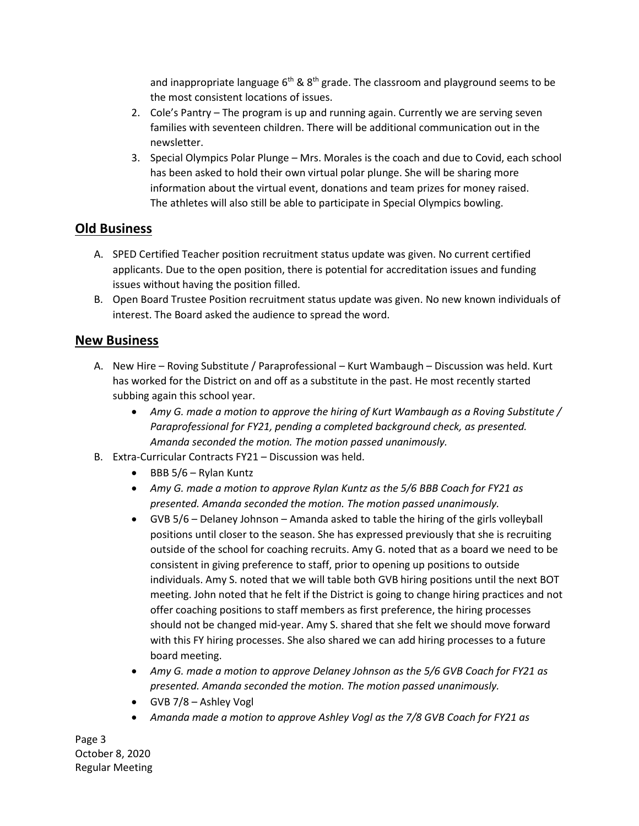and inappropriate language  $6<sup>th</sup>$  &  $8<sup>th</sup>$  grade. The classroom and playground seems to be the most consistent locations of issues.

- 2. Cole's Pantry The program is up and running again. Currently we are serving seven families with seventeen children. There will be additional communication out in the newsletter.
- 3. Special Olympics Polar Plunge Mrs. Morales is the coach and due to Covid, each school has been asked to hold their own virtual polar plunge. She will be sharing more information about the virtual event, donations and team prizes for money raised. The athletes will also still be able to participate in Special Olympics bowling.

#### **Old Business**

- A. SPED Certified Teacher position recruitment status update was given. No current certified applicants. Due to the open position, there is potential for accreditation issues and funding issues without having the position filled.
- B. Open Board Trustee Position recruitment status update was given. No new known individuals of interest. The Board asked the audience to spread the word.

#### **New Business**

- A. New Hire Roving Substitute / Paraprofessional Kurt Wambaugh Discussion was held. Kurt has worked for the District on and off as a substitute in the past. He most recently started subbing again this school year.
	- *Amy G. made a motion to approve the hiring of Kurt Wambaugh as a Roving Substitute / Paraprofessional for FY21, pending a completed background check, as presented. Amanda seconded the motion. The motion passed unanimously.*
- B. Extra-Curricular Contracts FY21 Discussion was held.
	- $\bullet$  BBB 5/6 Rylan Kuntz
	- *Amy G. made a motion to approve Rylan Kuntz as the 5/6 BBB Coach for FY21 as presented. Amanda seconded the motion. The motion passed unanimously.*
	- GVB 5/6 Delaney Johnson Amanda asked to table the hiring of the girls volleyball positions until closer to the season. She has expressed previously that she is recruiting outside of the school for coaching recruits. Amy G. noted that as a board we need to be consistent in giving preference to staff, prior to opening up positions to outside individuals. Amy S. noted that we will table both GVB hiring positions until the next BOT meeting. John noted that he felt if the District is going to change hiring practices and not offer coaching positions to staff members as first preference, the hiring processes should not be changed mid-year. Amy S. shared that she felt we should move forward with this FY hiring processes. She also shared we can add hiring processes to a future board meeting.
	- *Amy G. made a motion to approve Delaney Johnson as the 5/6 GVB Coach for FY21 as presented. Amanda seconded the motion. The motion passed unanimously.*
	- GVB 7/8 Ashley Vogl
	- *Amanda made a motion to approve Ashley Vogl as the 7/8 GVB Coach for FY21 as*

Page 3 October 8, 2020 Regular Meeting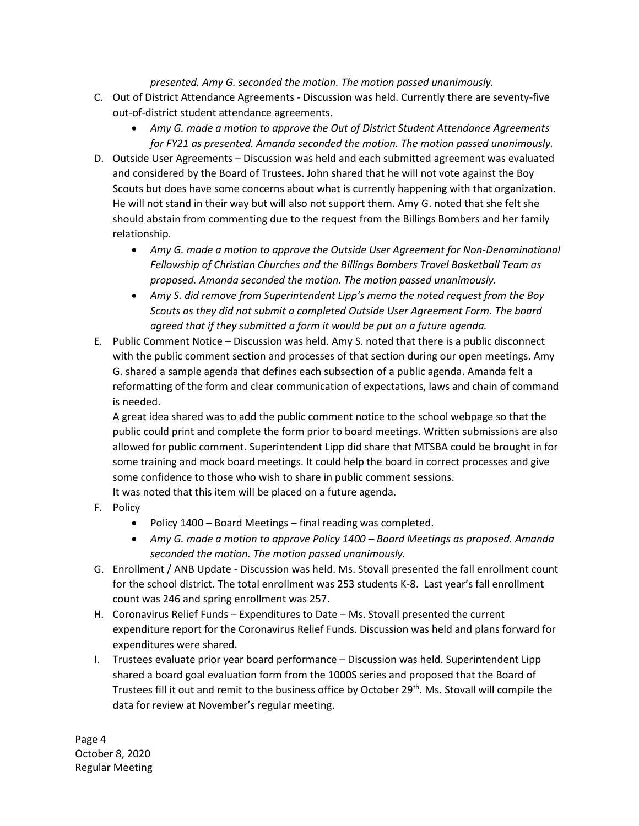#### *presented. Amy G. seconded the motion. The motion passed unanimously.*

- C. Out of District Attendance Agreements Discussion was held. Currently there are seventy-five out-of-district student attendance agreements.
	- *Amy G. made a motion to approve the Out of District Student Attendance Agreements for FY21 as presented. Amanda seconded the motion. The motion passed unanimously.*
- D. Outside User Agreements Discussion was held and each submitted agreement was evaluated and considered by the Board of Trustees. John shared that he will not vote against the Boy Scouts but does have some concerns about what is currently happening with that organization. He will not stand in their way but will also not support them. Amy G. noted that she felt she should abstain from commenting due to the request from the Billings Bombers and her family relationship.
	- *Amy G. made a motion to approve the Outside User Agreement for Non-Denominational Fellowship of Christian Churches and the Billings Bombers Travel Basketball Team as proposed. Amanda seconded the motion. The motion passed unanimously.*
	- *Amy S. did remove from Superintendent Lipp's memo the noted request from the Boy Scouts as they did not submit a completed Outside User Agreement Form. The board agreed that if they submitted a form it would be put on a future agenda.*
- E. Public Comment Notice Discussion was held. Amy S. noted that there is a public disconnect with the public comment section and processes of that section during our open meetings. Amy G. shared a sample agenda that defines each subsection of a public agenda. Amanda felt a reformatting of the form and clear communication of expectations, laws and chain of command is needed.

A great idea shared was to add the public comment notice to the school webpage so that the public could print and complete the form prior to board meetings. Written submissions are also allowed for public comment. Superintendent Lipp did share that MTSBA could be brought in for some training and mock board meetings. It could help the board in correct processes and give some confidence to those who wish to share in public comment sessions. It was noted that this item will be placed on a future agenda.

- F. Policy
	- Policy 1400 Board Meetings final reading was completed.
	- *Amy G. made a motion to approve Policy 1400 – Board Meetings as proposed. Amanda seconded the motion. The motion passed unanimously.*
- G. Enrollment / ANB Update Discussion was held. Ms. Stovall presented the fall enrollment count for the school district. The total enrollment was 253 students K-8. Last year's fall enrollment count was 246 and spring enrollment was 257.
- H. Coronavirus Relief Funds Expenditures to Date Ms. Stovall presented the current expenditure report for the Coronavirus Relief Funds. Discussion was held and plans forward for expenditures were shared.
- I. Trustees evaluate prior year board performance Discussion was held. Superintendent Lipp shared a board goal evaluation form from the 1000S series and proposed that the Board of Trustees fill it out and remit to the business office by October 29<sup>th</sup>. Ms. Stovall will compile the data for review at November's regular meeting.

Page 4 October 8, 2020 Regular Meeting